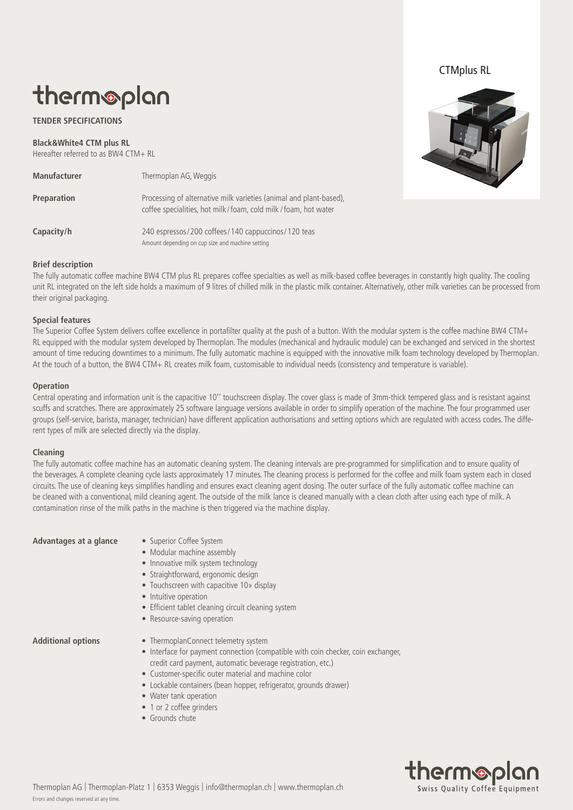## CTMplus RL

# therm®plan

### **TENDER SPECIFICATIONS**

**Black&White4 CTM plus RL** Hereafter referred to as BW4 CTM+ RL

| <b>Manufacturer</b> | Thermoplan AG, Weggis                                                                                                               |
|---------------------|-------------------------------------------------------------------------------------------------------------------------------------|
| Preparation         | Processing of alternative milk varieties (animal and plant-based),<br>coffee specialities, hot milk/foam, cold milk/foam, hot water |
| Capacity/h          | 240 espressos/200 coffees/140 cappuccinos/120 teas<br>Amount depending on cup size and machine setting                              |

#### **Brief description**

The fully automatic coffee machine BW4 CTM plus RL prepares coffee specialties as well as milk-based coffee beverages in constantly high quality. The cooling unit RL integrated on the left side holds a maximum of 9 litres of chilled milk in the plastic milk container. Alternatively, other milk varieties can be processed from their original packaging.

#### **Special features**

The Superior Coffee System delivers coffee excellence in portafilter quality at the push of a button. With the modular system is the coffee machine BW4 CTM+ RL equipped with the modular system developed by Thermoplan. The modules (mechanical and hydraulic module) can be exchanged and serviced in the shortest amount of time reducing downtimes to a minimum. The fully automatic machine is equipped with the innovative milk foam technology developed by Thermoplan. At the touch of a button, the BW4 CTM+ RL creates milk foam, customisable to individual needs (consistency and temperature is variable).

#### **Operation**

Central operating and information unit is the capacitive 10'' touchscreen display. The cover glass is made of 3mm-thick tempered glass and is resistant against scuffs and scratches. There are approximately 25 software language versions available in order to simplify operation of the machine. The four programmed user groups (self-service, barista, manager, technician) have different application authorisations and setting options which are regulated with access codes. The different types of milk are selected directly via the display.

#### **Cleaning**

The fully automatic coffee machine has an automatic cleaning system. The cleaning intervals are pre-programmed for simplification and to ensure quality of the beverages. A complete cleaning cycle lasts approximately 17 minutes. The cleaning process is performed for the coffee and milk foam system each in closed circuits. The use of cleaning keys simplifies handling and ensures exact cleaning agent dosing. The outer surface of the fully automatic coffee machine can be cleaned with a conventional, mild cleaning agent. The outside of the milk lance is cleaned manually with a clean cloth after using each type of milk. A contamination rinse of the milk paths in the machine is then triggered via the machine display.

Advantages at a glance • Superior Coffee System

- Modular machine assembly
- Innovative milk system technology
- Straightforward, ergonomic design
- Touchscreen with capacitive 10» display
- Intuitive operation
- Efficient tablet cleaning circuit cleaning system
- Resource-saving operation

- **Additional options** ThermoplanConnect telemetry system
	- Interface for payment connection (compatible with coin checker, coin exchanger, credit card payment, automatic beverage registration, etc.)
	- Customer-specific outer material and machine color
	- Lockable containers (bean hopper, refrigerator, grounds drawer)
	- Water tank operation
	- 1 or 2 coffee grinders
	- Grounds chute